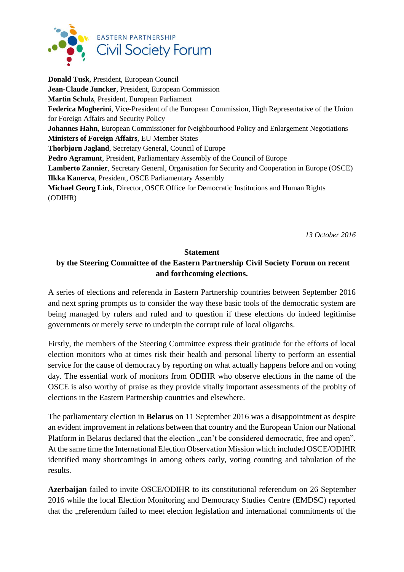

**Donald Tusk**, President, European Council **Jean-Claude Juncker**, President, European Commission **Martin Schulz**, President, European Parliament **Federica Mogherini**, Vice-President of the European Commission, High Representative of the Union for Foreign Affairs and Security Policy **Johannes Hahn**, European Commissioner for Neighbourhood Policy and Enlargement Negotiations **Ministers of Foreign Affairs**, EU Member States **Thorbjørn Jagland**, Secretary General, Council of Europe **Pedro Agramunt**, President, Parliamentary Assembly of the Council of Europe **Lamberto Zannier**, Secretary General, Organisation for Security and Cooperation in Europe (OSCE) **Ilkka Kanerva**, President, OSCE Parliamentary Assembly **Michael Georg Link**, Director, OSCE Office for Democratic Institutions and Human Rights (ODIHR)

*13 October 2016*

## **Statement**

## **by the Steering Committee of the Eastern Partnership Civil Society Forum on recent and forthcoming elections.**

A series of elections and referenda in Eastern Partnership countries between September 2016 and next spring prompts us to consider the way these basic tools of the democratic system are being managed by rulers and ruled and to question if these elections do indeed legitimise governments or merely serve to underpin the corrupt rule of local oligarchs.

Firstly, the members of the Steering Committee express their gratitude for the efforts of local election monitors who at times risk their health and personal liberty to perform an essential service for the cause of democracy by reporting on what actually happens before and on voting day. The essential work of monitors from ODIHR who observe elections in the name of the OSCE is also worthy of praise as they provide vitally important assessments of the probity of elections in the Eastern Partnership countries and elsewhere.

The parliamentary election in **Belarus** on 11 September 2016 was a disappointment as despite an evident improvement in relations between that country and the European Union our National Platform in Belarus declared that the election "can't be considered democratic, free and open". At the same time the International Election Observation Mission which included OSCE/ODIHR identified many shortcomings in among others early, voting counting and tabulation of the results.

**Azerbaijan** failed to invite OSCE/ODIHR to its constitutional referendum on 26 September 2016 while the local Election Monitoring and Democracy Studies Centre (EMDSC) reported that the "referendum failed to meet election legislation and international commitments of the